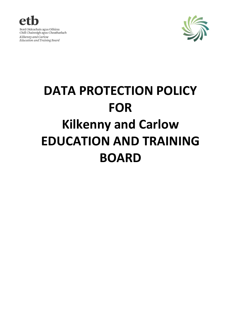



# **DATA PROTECTION POLICY FOR Kilkenny and Carlow EDUCATION AND TRAINING BOARD**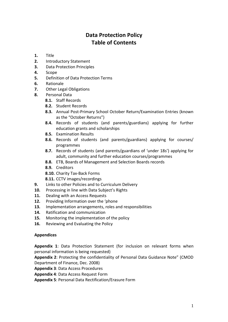# **Data Protection Policy Table of Contents**

- **1.** Title
- **2.** Introductory Statement
- **3.** Data Protection Principles
- **4.** Scope
- **5.** Definition of Data Protection Terms
- **6.** Rationale
- **7.** Other Legal Obligations
- **8.** Personal Data
	- **8.1.** Staff Records
	- **8.2.** Student Records
	- **8.3.** Annual Post-Primary School October Return/Examination Entries (known as the "October Returns")
	- **8.4.** Records of students (and parents/guardians) applying for further education grants and scholarships
	- **8.5.** Examination Results
	- **8.6.** Records of students (and parents/guardians) applying for courses/ programmes
	- **8.7.** Records of students (and parents/guardians of 'under 18s') applying for adult, community and further education courses/programmes
	- **8.8.** ETB, Boards of Management and Selection Boards records
	- **8.9.** Creditors
	- **8.10.** Charity Tax-Back Forms
	- **8.11.** CCTV images/recordings
- **9.** Links to other Policies and to Curriculum Delivery
- **10.** Processing in line with Data Subject's Rights
- **11.** Dealing with an Access Requests
- **12.** Providing Information over the 'phone
- **13.** Implementation arrangements, roles and responsibilities
- **14.** Ratification and communication
- **15.** Monitoring the implementation of the policy
- **16.** Reviewing and Evaluating the Policy

#### **Appendices**

**Appendix 1**: Data Protection Statement (for inclusion on relevant forms when personal information is being requested)

**Appendix 2**: Protecting the confidentiality of Personal Data Guidance Note" (CMOD Department of Finance, Dec. 2008)

**Appendix 3**: Data Access Procedures

**Appendix 4**: Data Access Request Form

**Appendix 5**: Personal Data Rectification/Erasure Form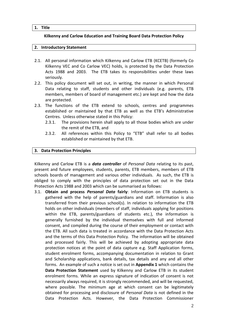#### **1. Title**

#### **Kilkenny and Carlow Education and Training Board Data Protection Policy**

#### **2. Introductory Statement**

- 2.1. All personal information which Kilkenny and Carlow ETB (KCETB) (formerly Co Kilkenny VEC and Co Carlow VEC) holds, is protected by the Data Protection Acts 1988 and 2003. The ETB takes its responsibilities under these laws seriously.
- 2.2. This policy document will set out, in writing, the manner in which Personal Data relating to staff, students and other individuals (e.g. parents, ETB members, members of board of management etc.) are kept and how the data are protected.
- 2.3. The functions of the ETB extend to schools, centres and programmes established or maintained by that ETB as well as the ETB's Administrative Centres. Unless otherwise stated in this Policy:
	- 2.3.1. The provisions herein shall apply to all those bodies which are under the remit of the ETB, and
	- 2.3.2. All references within this Policy to "ETB" shall refer to all bodies established or maintained by that ETB.

#### **3. Data Protection Principles**

Kilkenny and Carlow ETB is a *data controller* of *Personal Data* relating to its past, present and future employees, students, parents, ETB members, members of ETB schools boards of management and various other individuals. As such, the ETB is obliged to comply with the principles of data protection set out in the Data Protection Acts 1988 and 2003 which can be summarised as follows:

3.1. **Obtain and process** *Personal Data* **fairly**: Information on ETB students is gathered with the help of parents/guardians and staff. Information is also transferred from their previous school(s). In relation to information the ETB holds on other individuals (members of staff, individuals applying for positions within the ETB, parents/guardians of students etc.), the information is generally furnished by the individual themselves with full and informed consent, and compiled during the course of their employment or contact with the ETB. All such data is treated in accordance with the Data Protection Acts and the terms of this Data Protection Policy. The information will be obtained and processed fairly. This will be achieved by adopting appropriate data protection notices at the point of data capture e.g. Staff Application forms, student enrolment forms, accompanying documentation in relation to Grant and Scholarship applications, bank details, tax details and any and all other forms. An example of such a notice is set out in **Appendix 1** which contains the **Data Protection Statement** used by Kilkenny and Carlow ETB in its student enrolment forms. While an express signature of indication of consent is not necessarily always required, it is strongly recommended, and will be requested, where possible. The minimum age at which consent can be legitimately obtained for processing and disclosure of *Personal Data* is not defined in the Data Protection Acts. However, the Data Protection Commissioner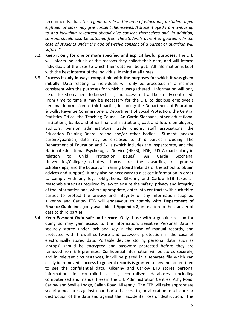recommends, that, "*as a general rule in the area of education, a student aged eighteen or older may give consent themselves. A student aged from twelve up to and including seventeen should give consent themselves and, in addition, consent should also be obtained from the student's parent or guardian. In the case of students under the age of twelve consent of a parent or guardian will suffice."*

- 3.2. **Keep it only for one or more specified and explicit lawful purposes**: The ETB will inform individuals of the reasons they collect their data, and will inform individuals of the uses to which their data will be put. All information is kept with the best interest of the individual in mind at all times.
- 3.3. **Process it only in ways compatible with the purposes for which it was given initially**: Data relating to individuals will only be processed in a manner consistent with the purposes for which it was gathered. Information will only be disclosed on a need to know basis, and access to it will be strictly controlled. From time to time it may be necessary for the ETB to disclose employee's personal information to third parties, including: the Department of Education & Skills, Revenue Commissioners, Department of Social Protection, the Central Statistics Office, the Teaching Council, An Garda Síochána, other educational institutions, banks and other financial institutions, past and future employers, auditors, pension administrators, trade unions, staff associations, the Education Training Board Ireland and/or other bodies. Student (and/or parent/guardian) data may be disclosed to third parties including: The Department of Education and Skills (which includes the Inspectorate, and the National Educational Psychological Service (NEPS)), HSE, TUSLA (particularly in relation to Child Protection issues), An Garda Siochana, Universities/Colleges/Institutes, banks (re the awarding of grants/ scholarships) and the Education Training Board Ireland (for the school to obtain advices and support). It may also be necessary to disclose information in order to comply with any legal obligations. Kilkenny and Carlow ETB takes all reasonable steps as required by law to ensure the safety, privacy and integrity of the information and, where appropriate, enter into contracts with such third parties to protect the privacy and integrity of any information supplied Kilkenny and Carlow ETB will endeavour to comply with **Department of Finance Guidelines** (copy available at **Appendix 2**) in relation to the transfer of data to third parties.
- 3.4. **Keep** *Personal Data* **safe and secure**: Only those with a genuine reason for doing so may gain access to the information. Sensitive Personal Data is securely stored under lock and key in the case of manual records, and protected with firewall software and password protection in the case of electronically stored data. Portable devices storing personal data (such as laptops) should be encrypted and password protected before they are removed from ETB premises. Confidential information will be stored securely, and in relevant circumstances, it will be placed in a separate file which can easily be removed if access to general records is granted to anyone not entitled to see the confidential data. Kilkenny and Carlow ETB stores personal information in controlled access, centralised databases (including computerised and manual files) in the ETB Administration Centres, Athy Road, Carlow and Seville Lodge, Callan Road, Kilkenny. The ETB will take appropriate security measures against unauthorised access to, or alteration, disclosure or destruction of the data and against their accidental loss or destruction. The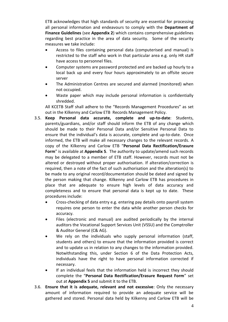ETB acknowledges that high standards of security are essential for processing all personal information and endeavours to comply with the **Department of Finance Guidelines** (see **Appendix 2**) which contains comprehensive guidelines regarding best practice in the area of data security. Some of the security measures we take include:

- Access to files containing personal data (computerised and manual) is restricted to the staff who work in that particular area e.g. only HR staff have access to personnel files.
- Computer systems are password protected and are backed up hourly to a local back up and every four hours approximately to an offsite secure server
- The Administration Centres are secured and alarmed (monitored) when not occupied.
- Waste paper which may include personal information is confidentially shredded.

All KCETB Staff shall adhere to the "Records Management Procedures" as set out in the Kilkenny and Carlow ETB Records Management Policy.

- 3.5. **Keep Personal data accurate, complete and up-to-date**: Students, parents/guardians, and/or staff should inform the ETB of any change which should be made to their Personal Data and/or Sensitive Personal Data to ensure that the individual's data is accurate, complete and up-to-date. Once informed, the ETB will make all necessary changes to the relevant records. A copy of the Kilkenny and Carlow ETB "**Personal Data Rectification/Erasure Form**" is available at **Appendix 5**. The authority to update/amend such records may be delegated to a member of ETB staff. However, records must not be altered or destroyed without proper authorisation. If alteration/correction is required, then a note of the fact of such authorisation and the alteration(s) to be made to any original record/documentation should be dated and signed by the person making that change. Kilkenny and Carlow ETB has procedures in place that are adequate to ensure high levels of data accuracy and completeness and to ensure that personal data is kept up to date. These procedures include:
	- Cross-checking of data entry e.g. entering pay details onto payroll system requires one person to enter the data while another person checks for accuracy.
	- Files (electronic and manual) are audited periodically by the internal auditors the Vocational Support Services Unit (VSSU) and the Comptroller & Auditor General (C& AG).
	- We rely on the individuals who supply personal information (staff, students and others) to ensure that the information provided is correct and to update us in relation to any changes to the information provided. Notwithstanding this, under Section 6 of the Data Protection Acts, individuals have the right to have personal information corrected if necessary.
	- If an individual feels that the information held is incorrect they should complete the "**Personal Data Rectification/Erasure Request Form**" set out at **Appendix 5** and submit it to the ETB.
- 3.6. **Ensure that it is adequate, relevant and not excessive**: Only the necessary amount of information required to provide an adequate service will be gathered and stored. Personal data held by Kilkenny and Carlow ETB will be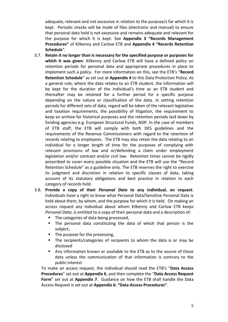adequate, relevant and not excessive in relation to the purpose/s for which it is kept. Periodic checks will be made of files (electronic and manual) to ensure that personal data held is not excessive and remains adequate and relevant for the purpose for which it is kept. See **Appendix 3 "Records Management Procedures"** of Kilkenny and Carlow ETB and **Appendix 4 "Records Retention Schedule**".

- 3.7. **Retain it no longer than is necessary for the specified purpose or purposes for which it was given**: Kilkenny and Carlow ETB will have a defined policy on retention periods for personal data and appropriate procedures in place to implement such a policy. For more information on this, see the ETB's "**Record Retention Schedule**" as set out at **Appendix 4** to this Data Protection Policy. As a general rule, where the data relates to an ETB student, the information will be kept for the duration of the individual's time as an ETB student and thereafter may be retained for a further period for a specific purpose depending on the nature or classification of the data. In setting retention periods for different sets of data, regard will be taken of the relevant legislative and taxation requirements, the possibility of litigation, the requirement to keep an archive for historical purposes and the retention periods laid down by funding agencies e.g. European Structural Funds, NDP. In the case of members of ETB staff, the ETB will comply with both DES guidelines and the requirements of the Revenue Commissioners with regard to the retention of records relating to employees. The ETB may also retain the data relating to an individual for a longer length of time for the purposes of complying with relevant provisions of law and or/defending a claim under employment legislation and/or contract and/or civil law. Retention times cannot be rigidly prescribed to cover every possible situation and the ETB will use the "Record Retention Schedule" as a guideline only. The ETB reserves the right to exercise its judgment and discretion in relation to specific classes of data, taking account of its statutory obligations and best practice in relation to each category of records held.
- 3.8. **Provide a copy of their** *Personal Data* **to any individual, on request**: Individuals have a right to know what Personal Data/Sensitive Personal Data is held about them, by whom, and the purpose for which it is held. On making an access request any individual about whom Kilkenny and Carlow ETB keeps *Personal Data*, is entitled to a copy of their personal data and a description of:
	- **The categories of data being processed,**
	- The personal data constituting the data of which that person is the subject,
	- The purpose for the processing,
	- The recipients/categories of recipients to whom the data is or may be disclosed
	- Any information known or available to the ETB as to the source of those data unless the communication of that information is contrary to the public interest

To make an access request, the individual should read the ETB's "**Data Access Procedures**" set out at **Appendix 6**, and then complete the "**Data Access Request Form**" set out at **Appendix 7**. Guidance on how the ETB shall handle the Data Access Request is set out at **Appendix 6: "Data Access Procedures"**.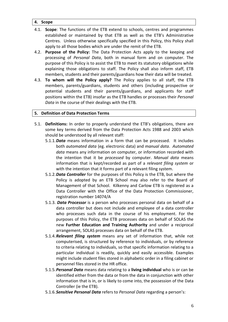# **4. Scope**

- 4.1. **Scope**: The functions of the ETB extend to schools, centres and programmes established or maintained by that ETB as well as the ETB's Administrative Centres. Unless otherwise specifically specified in this Policy, this Policy shall apply to all those bodies which are under the remit of the ETB.
- 4.2. **Purpose of the Policy:** The Data Protection Acts apply to the keeping and processing of *Personal Data*, both in manual form and on computer. The purpose of this Policy is to assist the ETB to meet its statutory obligations while explaining those obligations to staff. The Policy shall also inform staff, ETB members, students and their parents/guardians how their data will be treated.
- 4.3. **To whom will the Policy apply?** The Policy applies to all staff, the ETB members, parents/guardians, students and others (including prospective or potential students and their parents/guardians, and applicants for staff positions within the ETB) insofar as the ETB handles or processes their *Personal Data* in the course of their dealings with the ETB.

# **5. Definition of Data Protection Terms**

- 5.1. **Definitions:** In order to properly understand the ETB's obligations, there are some key terms derived from the Data Protection Acts 1988 and 2003 which should be understood by all relevant staff:
	- 5.1.1.*Data* means information in a form that can be processed. It includes both *automated data* (eg. electronic data) and *manual data*. *Automated data* means any information on computer, or information recorded with the intention that it be *processed* by computer. *Manual data* means information that is kept/recorded as part of a *relevant filing system* or with the intention that it forms part of a relevant filing system.
	- 5.1.2.*Data Controller* for the purposes of this Policy is the ETB, but where the Policy is adopted by an ETB School may also refer to the Board of Management of that School. Kilkenny and Carlow ETB is registered as a Data Controller with the Office of the Data Protection Commissioner, registration number 14074/A
	- 5.1.3. *Data Processor* is a person who processes personal data on behalf of a data controller but does not include and employee of a data controller who processes such data in the course of his employment. For the purposes of this Policy, the ETB processes data on behalf of SOLAS the new **Further Education and Training Authority** and under a reciprocal arrangement, SOLAS processes data on behalf of the ETB.
	- 5.1.4.*Relevant filing system* means any set of information that, while not computerised, is structured by reference to individuals, or by reference to criteria relating to individuals, so that specific information relating to a particular individual is readily, quickly and easily accessible. Examples might include student files stored in alphabetic order in a filing cabinet or personnel files stored in the HR office.
	- 5.1.5.*Personal Data* means data relating to a **living individual** who is or can be identified either from the data or from the data in conjunction with other information that is in, or is likely to come into, the possession of the Data Controller (ie the ETB).
	- 5.1.6.*Sensitive Personal Data* refers to *Personal Data* regarding a person's: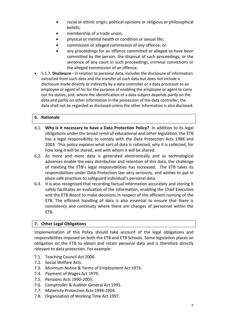- racial or ethnic origin, political opinions or religious or philosophical beliefs;
- membership of a trade union;
- physical or mental health or condition or sexual life;
- commission or alleged commission of any offence; or
- any proceedings for an offence committed or alleged to have been committed by the person, the disposal of such proceedings, or the sentence of any court in such proceedings, criminal convictions or the alleged commission of an offence.
- 5.1.7. **Disclosure -** In relation to personal data, includes the disclosure of information extracted from such data and the transfer of such data but does not include a disclosure made directly or indirectly by a data controller or a data processor to an employee or agent of his for the purpose of enabling the employee or agent to carry out his duties; and, where the identification of a data subject depends partly on the data and partly on other information in the possession of the data controller, the data shall not be regarded as disclosed unless the other information is also disclosed.

# **6. Rationale**

- 6.1. **Why is it necessary to have a Data Protection Policy?** In addition to its legal obligations under the broad remit of educational and other legislation, the ETB has a legal responsibility to comply with the Data Protection Acts 1988 and 2003. This policy explains what sort of data is collected, why it is collected, for how long it will be stored, and with whom it will be shared.
- 6.2. As more and more data is generated electronically and as technological advances enable the easy distribution and retention of this data, the challenge of meeting the ETB's legal responsibilities has increased. The ETB takes its responsibilities under Data Protection law very seriously, and wishes to put in place safe practices to safeguard individual's personal data.
- 6.3. It is also recognised that recording factual information accurately and storing it safely facilitates an evaluation of the information, enabling the Chief Executive and the ETB Board to make decisions in respect of the efficient running of the ETB. The efficient handling of data is also essential to ensure that there is consistency and continuity where there are changes of personnel within the ETB.

# **7. Other Legal Obligations**

Implementation of this Policy should take account of the legal obligations and responsibilities imposed on both the ETB and ETB Schools. Some legislation places an obligation on the ETB to obtain and retain personal data and is therefore directly relevant to data protection. For example:

- 7.1. Teaching Council Act 2006.
- 7.2. Social Welfare Acts.
- 7.3. Minimum Notice & Terms of Employment Act 1973.
- 7.4. Payment of Wages Act 1979.
- 7.5. Pensions Acts 1990-2003.
- 7.6. Comptroller & Auditor General Act 1993.
- 7.7. Maternity Protection Acts 1994-2004.
- 7.8. Organisation of Working Time Act 1997.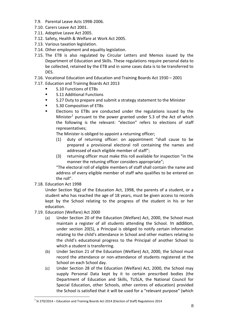- 7.9. Parental Leave Acts 1998-2006.
- 7.10. Carers Leave Act 2001.
- 7.11. Adoptive Leave Act 2005.
- 7.12. Safety, Health & Welfare at Work Act 2005.
- 7.13. Various taxation legislation.
- 7.14. Other employment and equality legislation.
- 7.15. The ETB is also regulated by Circular Letters and Memos issued by the Department of Education and Skills. These regulations require personal data to be collected, retained by the ETB and in some cases data is to be transferred to DES.
- 7.16. Vocational Education and Education and Training Boards Act 1930 2001
- 7.17. Education and Training Boards Act 2013
	- S.10 Functions of ETBs
	- **S.11 Additional Functions**
	- S.27 Duty to prepare and submit a strategy statement to the Minister
	- **S.30 Composition of ETBs**
	- Elections to ETBs are conducted under the regulations issued by the Minister<sup>1</sup> pursuant to the power granted under S.3 of the Act of which the following is the relevant: "election" refers to elections of staff representatives;

The Minister is obliged to appoint a returning officer;

- (1) duty of returning officer: on appointment "shall cause to be prepared a provisional electoral roll containing the names and addressed of each eligible member of staff";
- (3) returning officer must make this roll available for inspection "in the manner the retuning officer considers appropriate";

"The electoral roll of eligible members of staff shall contain the name and address of every eligible member of staff who qualifies to be entered on the roll".

7.18. Education Act 1998

 $\overline{a}$ 

Under Section  $9(g)$  of the [Education Act, 1998,](http://acts2.oireachtas.ie/zza51y1998.1.html) the parents of a student, or a student who has reached the age of 18 years, must be given access to records kept by the School relating to the progress of the student in his or her education.

- 7.19. Education (Welfare) Act 2000
	- (a) Under Section 20 of the [Education \(Welfare\) Act, 2000,](http://www.oireachtas.ie/documents/bills28/acts/2000/a2200.pdf) the School must maintain a register of all students attending the School. In addition, under section 20(5), a Principal is obliged to notify certain information relating to the child's attendance in School and other matters relating to the child's educational progress to the Principal of another School to which a student is transferring.
	- (b) Under Section 21 of the [Education \(Welfare\) Act, 2000,](http://www.oireachtas.ie/documents/bills28/acts/2000/a2200.pdf) the School must record the attendance or non-attendance of students registered at the School on each School day.
	- (c) Under Section 28 of the Education (Welfare) Act, 2000, the School may supply Personal Data kept by it to certain prescribed bodies (the Department of Education and Skills, TUSLA, the National Council for Special Education, other Schools, other centres of education) provided the School is satisfied that it will be used for a "relevant purpose" (which

 $<sup>1</sup>$  SI 270/2014 – Education and Training Boards Act 2014 (Election of Staff) Regulations 2014</sup>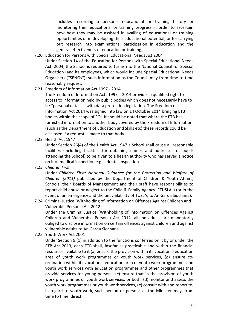includes recording a person's educational or training history or monitoring their educational or training progress in order to ascertain how best they may be assisted in availing of educational or training opportunities or in developing their educational potential; or for carrying out research into examinations, participation in education and the general effectiveness of education or training).

- 7.20. Education for Persons with Special Educational Needs Act 2004
	- Under Section 14 of the Education for Persons with Special Educational Needs Act, 2004, the School is required to furnish to the National Council for Special Education (and its employees, which would include Special Educational Needs Organisers ("SENOs")) such information as the Council may from time to time reasonably request.
- 7.21. Freedom of Information Act 1997 2014

The Freedom of Information Acts 1997 - 2014 provides a qualified right to access to information held by public bodies which does not necessarily have to be "personal data" as with data protection legislation. The Freedom of Information Act 2014 was signed into law on 14 October 2014 bringing ETB bodies within the scope of FOI. It should be noted that where the ETB has furnished information to another body covered by the Freedom of Information (such as the Department of Education and Skills etc) these records could be disclosed if a request is made to that body.

7.22. Health Act 1947

Under Section 26(4) of the Health Act 1947 a School shall cause all reasonable facilities (including facilities for obtaining names and addresses of pupils attending the School) to be given to a health authority who has served a notice on it of medical inspection e.g. a dental inspection.

7.23. *Children First* 

Under *Children First: National Guidance for the Protection and Welfare of Children (2011)* published by the Department of Children & Youth Affairs, Schools, their Boards of Management and their staff have responsibilities to report child abuse or neglect to the Child & Family Agency ("TUSLA") (or in the event of an emergency and the unavailability of TUSLA, to An Garda Siochana).

# 7.24. Criminal Justice (Withholding of Information on Offences Against Children and Vulnerable Persons) Act 2012

Under the Criminal Justice (Withholding of Information on Offences Against Children and Vulnerable Persons) Act 2012, all individuals are mandatorily obliged to disclose information on certain offences against children and against vulnerable adults to An Garda Siochana.

7.25. Youth Work Act 2001

Under Section 9.(1) in addition to the functions conferred on it by or under the ETB Act 2013, each ETB shall, insofar as practicable and within the financial resources available to it (a) ensure the provision within its vocational education area of youth work programmes or youth work services, (*b*) ensure coordination within its vocational education area of youth work programmes and youth work services with education programmes and other programmes that provide services for young persons, (*c*) ensure that in the provision of youth work programmes or youth work services, or both, (d) monitor and assess the youth work programmes or youth work services, (*e*) consult with and report to, in regard to youth work, such person or persons as the Minister may, from time to time, direct.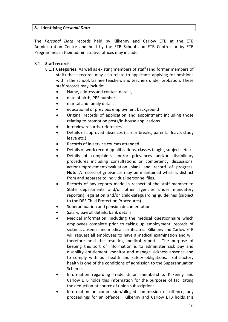# **8. Identifying** *Personal Data*

The *Personal Data* records held by Kilkenny and Carlow ETB at the ETB Administration Centre and held by the ETB School and ETB Centres or by ETB Programmes in their administrative offices may include:

# 8.1. **Staff records**

- 8.1.1.**Categories**: As well as existing members of staff (and former members of staff) these records may also relate to applicants applying for positions within the school, trainee teachers and teachers under probation. These staff records may include:
	- Name, address and contact details,
	- date of birth, PPS number
	- marital and family details
	- educational or previous employment background
	- Original records of application and appointment including those relating to promotion posts/in-house applications
	- interview records, references
	- Details of approved absences (career breaks, parental leave, study leave etc.)
	- Records of in-service courses attended
	- Details of work record (qualifications, classes taught, subjects etc.)
	- Details of complaints and/or grievances and/or disciplinary procedures including consultations or competency discussions, action/improvement/evaluation plans and record of progress. **Note:** A record of grievances may be maintained which is distinct from and separate to individual personnel files.
	- Records of any reports made in respect of the staff member to State departments and/or other agencies under mandatory reporting legislation and/or child-safeguarding guidelines (subject to the DES Child Protection Procedures)
	- Superannuation and pension documentation
	- Salary*,* payroll details, bank details.
	- Medical information, including the medical questionnaire which employees complete prior to taking up employment, records of sickness absence and medical certificates.Kilkenny and Carlow ETB will request all employees to have a medical examination and will therefore hold the resulting medical report. The purpose of keeping this sort of information is to administer sick pay and disability entitlement, monitor and manage sickness absence and to comply with our health and safety obligations. Satisfactory health is one of the conditions of admission to the Superannuation Scheme.
	- Information regarding Trade Union membership. Kilkenny and Carlow ETB holds this information for the purposes of facilitating the deduction-at-source of union subscriptions.
	- Information on commission/alleged commission of offence, any proceedings for an offence.Kilkenny and Carlow ETB holds this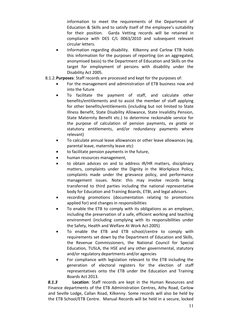information to meet the requirements of the Department of Education & Skills and to satisfy itself of the employee's suitability for their position. Garda Vetting records will be retained in compliance with DES C/L 0063/2010 and subsequent relevant circular letters.

- Information regarding disability. Kilkenny and Carlow ETB holds this information for the purposes of reporting (on an aggregated, anonymised basis) to the Department of Education and Skills on the target for employment of persons with disability under the Disability Act 2005.
- 8.1.2.**Purposes**: Staff records are processed and kept for the purposes of:
	- For the management and administration of ETB business now and into the future
	- To facilitate the payment of staff, and calculate other benefits/entitlements and to assist the member of staff applying for other benefits/entitlements (including but not limited to State Illness Benefit, State Disability Allowance, State Invalidity Pension, State Maternity Benefit etc.) to determine reckonable service for the purpose of calculation of pension payments, *ex gratia* or statutory entitlements, and/or redundancy payments where relevant)
	- To calculate annual leave allowances or other leave allowances (eg. parental leave, maternity leave etc)
	- to facilitate pension payments in the future,
	- human resources management,
	- to obtain advices on and to address IR/HR matters, disciplinary matters, complaints under the Dignity in the Workplace Policy, complaints made under the grievance policy, and performance management issues. Note: this may involve records being transferred to third parties including the national representative body for Education and Training Boards, ETBI, and legal advisors.
	- recording promotions (documentation relating to promotions applied for) and changes in responsibilities
	- To enable the ETB to comply with its obligations as an employer, including the preservation of a safe, efficient working and teaching environment (including complying with its responsibilities under the Safety, Health and Welfare At Work Act 2005)
	- To enable the ETB and ETB school/centre to comply with requirements set down by the Department of Education and Skills, the Revenue Commissioners, the National Council for Special Education, TUSLA, the HSE and any other governmental, statutory and/or regulatory departments and/or agencies
	- For compliance with legislation relevant to the ETB including the generation of electoral registers for the election of staff representatives onto the ETB under the Education and Training Boards Act 2013.

*8.1.3* **Location**: Staff records are kept in the Human Resources and Finance departments of the ETB Administration Centres, Athy Road, Carlow and Seville Lodge, Callan Road, Kilkenny. Some records will also be held by the ETB School/ETB Centre. Manual Records will be held in a secure, locked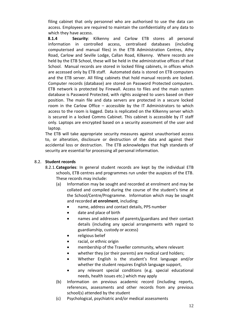filing cabinet that only personnel who are authorised to use the data can access. Employees are required to maintain the confidentiality of any data to which they have access.

**8.1.4 Security**: Kilkenny and Carlow ETB stores all personal information in controlled access, centralised databases (including computerised and manual files) in the ETB Administration Centres, Athy Road, Carlow and Seville Lodge, Callan Road, Kilkenny. Where records are held by the ETB School, these will be held in the administrative offices of that School. Manual records are stored in locked filing cabinets, in offices which are accessed only by ETB staff. Automated data is stored on ETB computers and the ETB server. All filing cabinets that hold manual records are locked. Computer records (database) are stored on Password Protected computers. ETB network is protected by Firewall. Access to files and the main system database is Password Protected, with rights assigned to users based on their position. The main file and data servers are protected in a secure locked room in the Carlow Office – accessible by the IT Administrators to which access to the room is logged. Data is replicated on the Kilkenny server which is secured in a locked Comms Cabinet. This cabinet is accessible by IT staff only. Laptops are encrypted based on a security assessment of the user and laptop.

The ETB will take appropriate security measures against unauthorised access to, or alteration, disclosure or destruction of the data and against their accidental loss or destruction. The ETB acknowledges that high standards of security are essential for processing all personal information.

# 8.2. **Student records**

- 8.2.1.**Categories**: In general student records are kept by the individual ETB schools, ETB centres and programmes run under the auspices of the ETB. These records may include:
	- (a) Information may be sought and recorded at enrolment and may be collated and compiled during the course of the student's time at the School/Centre/Programme. Information which may be sought and recorded **at enrolment**, including:
		- name, address and contact details, PPS number
		- date and place of birth
		- names and addresses of parents/guardians and their contact details (including any special arrangements with regard to guardianship, custody or access)
		- religious belief
		- racial, or ethnic origin
		- membership of the Traveller community, where relevant
		- whether they (or their parents) are medical card holders;
		- Whether English is the student's first language and/or whether the student requires English language support,
		- any relevant special conditions (e.g. special educational needs, health issues etc.) which may apply
	- (b) Information on previous academic record (including reports, references, assessments and other records from any previous school(s) attended by the student
	- (c) Psychological, psychiatric and/or medical assessments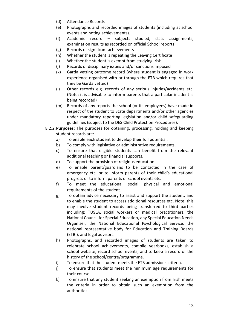- (d) Attendance Records
- (e) Photographs and recorded images of students (including at school events and noting achievements).
- (f) Academic record subjects studied, class assignments, examination results as recorded on official School reports
- (g) Records of significant achievements
- (h) Whether the student is repeating the Leaving Certificate
- (i) Whether the student is exempt from studying Irish
- (j) Records of disciplinary issues and/or sanctions imposed
- (k) Garda vetting outcome record (where student is engaged in work experience organised with or through the ETB which requires that they be Garda vetted)
- (l) Other records e.g. records of any serious injuries/accidents etc. (Note: it is advisable to inform parents that a particular incident is being recorded)
- (m) Records of any reports the school (or its employees) have made in respect of the student to State departments and/or other agencies under mandatory reporting legislation and/or child safeguarding guidelines (subject to the DES Child Protection Procedures).
- 8.2.2.**Purposes:** The purposes for obtaining, processing, holding and keeping student records are:
	- a) To enable each student to develop their full potential.
	- b) To comply with legislative or administrative requirements.
	- c) To ensure that eligible students can benefit from the relevant additional teaching or financial supports.
	- d) To support the provision of religious education.
	- e) To enable parent/guardians to be contacted in the case of emergency etc. or to inform parents of their child's educational progress or to inform parents of school events etc.
	- f) To meet the educational, social, physical and emotional requirements of the student.
	- g) To obtain advice necessary to assist and support the student, and to enable the student to access additional resources etc. Note: this may involve student records being transferred to third parties including: TUSLA, social workers or medical practitioners, the National Council for Special Education, any Special Education Needs Organiser, the National Educational Psychological Service, the national representative body for Education and Training Boards (ETBI), and legal advisors.
	- h) Photographs, and recorded images of students are taken to celebrate school achievements, compile yearbooks, establish a school website, record school events, and to keep a record of the history of the school/centre/programme.
	- i) To ensure that the student meets the ETB admissions criteria.
	- j) To ensure that students meet the minimum age requirements for their course.
	- k) To ensure that any student seeking an exemption from Irish meets the criteria in order to obtain such an exemption from the authorities.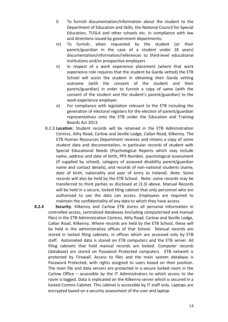- l) To furnish documentation/information about the student to the Department of Education and Skills, the National Council for Special Education, TUSLA and other schools etc. in compliance with law and directions issued by government departments;
- m) To furnish, when requested by the student (or their parent/guardian in the case of a student under 18 years) documentation/information/references to third-level educational institutions and/or prospective employers
- n) In respect of a work experience placement (where that work experience role requires that the student be Garda vetted) the ETB School will assist the student in obtaining their Garda vetting outcome (with the consent of the student and their parent/guardian) in order to furnish a copy of same (with the consent of the student and the student's parent/guardian) to the work experience employer.
- o) For compliance with legislation relevant to the ETB including the generation of electoral registers for the election of parent/guardian representatives onto the ETB under the Education and Training Boards Act 2013.
- 8.2.3.**Location**: Student records will be retained in the ETB Administration Centres, Athy Road, Carlow and Seville Lodge, Callan Road, Kilkenny. The ETB Human Resources Department receives and retains a copy of some student data and documentation, in particular records of student with Special Educational Needs (Psychological Reports which may include name, address and date of birth, PPS Number, psychological assessment (if supplied by school), category of assessed disability parent/guardian name and contact details), and records of non-national students (name, date of birth, nationality and year of entry to Ireland). Note: Some records will also be held by the ETB School. Note: some records may be transferred to third parties as disclosed at (3.3) above. Manual Records will be held in a secure, locked filing cabinet that only personnel who are authorised to use the data can access. Employees are required to maintain the confidentiality of any data to which they have access.

**8.2.4 Security**: Kilkenny and Carlow ETB stores all personal information in controlled access, centralised databases (including computerised and manual files) in the ETB Administration Centres, Athy Road, Carlow and Seville Lodge, Callan Road, Kilkenny. Where records are held by the ETB School, these will be held in the administrative offices of that School. Manual records are stored in locked filing cabinets, in offices which are accessed only by ETB staff. Automated data is stored on ETB computers and the ETB server. All filing cabinets that hold manual records are locked. Computer records (database) are stored on Password Protected computers. ETB network is protected by Firewall. Access to files and the main system database is Password Protected, with rights assigned to users based on their position. The main file and data servers are protected in a secure locked room in the Carlow Office – accessible by the IT Administrators to which access to the room is logged. Data is replicated on the Kilkenny server which is secured in a locked Comms Cabinet. This cabinet is accessible by IT staff only. Laptops are encrypted based on a security assessment of the user and laptop.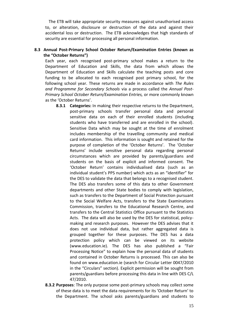The ETB will take appropriate security measures against unauthorised access to, or alteration, disclosure or destruction of the data and against their accidental loss or destruction. The ETB acknowledges that high standards of security are essential for processing all personal information.

# **8.3 Annual Post-Primary School October Return/Examination Entries (known as the "October Returns")**

Each year, each recognised post-primary school makes a return to the Department of Education and Skills, the data from which allows the Department of Education and Skills calculate the teaching posts and core funding to be allocated to each recognised post primary school, for the following school year. These returns are made in accordance with *The Rules and Programme for Secondary Schools* via a process called the *Annual Post-Primary School October Return/Examination Entries,* or more commonly known as the 'October Returns'.

- **8.3.1 Categories:** In making their respective returns to the Department, post-primary schools transfer personal data and personal sensitive data on each of their enrolled students (including students who have transferred and are enrolled in the school). Sensitive Data which may be sought at the time of enrolment includes membership of the travelling community and medical card information. This information is sought and retained for the purpose of completion of the 'October Returns'. The 'October Returns' include sensitive personal data regarding personal circumstances which are provided by parents/guardians and students on the basis of explicit and informed consent. The 'October Return' contains individualised data (such as an individual student's PPS number) which acts as an "identifier" for the DES to validate the data that belongs to a recognised student. The DES also transfers some of this data to other Government departments and other State bodies to comply with legislation, such as transfers to the Department of Social Protection pursuant to the Social Welfare Acts, transfers to the State Examinations Commission, transfers to the Educational Research Centre, and transfers to the Central Statistics Office pursuant to the Statistics Acts. The data will also be used by the DES for statistical, policymaking and research purposes. However the DES advises that it does not use individual data, but rather aggregated data is grouped together for these purposes. The DES has a data protection policy which can be viewed on its website [\(www.education.ie](https://www.education.ie/en/)). The DES has also published a "Fair Processing Notice" to explain how the personal data of students and contained in October Returns is processed. This can also be found on [www.education.ie](https://www.education.ie/en/) (search for Circular Letter 0047/2010 in the "Circulars" section). Explicit permission will be sought from parents/guardians before processing this data in line with DES C/L 47/2010.
- **8.3.2 Purposes**: The only purpose some post-primary schools may collect some of these data is to meet the data requirements for its 'October Return' to the Department. The school asks parents/guardians and students to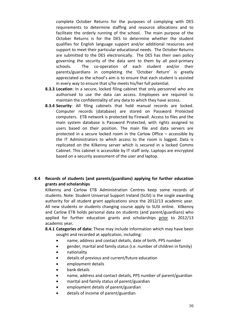complete October Returns for the purposes of complying with DES requirements to determine staffing and resource allocations and to facilitate the orderly running of the school. The main purpose of the October Returns is for the DES to determine whether the student qualifies for English language support and/or additional resources and support to meet their particular educational needs. The October Returns are submitted to the DES electronically. The DES has their own policy governing the security of the data sent to them by all post-primary schools. The co-operation of each student and/or their parents/guardians in completing the 'October Return' is greatly appreciated as the school's aim is to ensure that each student is assisted in every way to ensure that s/he meets his/her full potential.

- **8.3.3 Location**: In a secure, locked filing cabinet that only personnel who are authorised to use the data can access. Employees are required to maintain the confidentiality of any data to which they have access.
- **8.3.4 Security**: All filing cabinets that hold manual records are locked. Computer records (database) are stored on Password Protected computers. ETB network is protected by Firewall. Access to files and the main system database is Password Protected, with rights assigned to users based on their position. The main file and data servers are protected in a secure locked room in the Carlow Office – accessible by the IT Administrators to which access to the room is logged. Data is replicated on the Kilkenny server which is secured in a locked Comms Cabinet. This cabinet is accessible by IT staff only. Laptops are encrypted based on a security assessment of the user and laptop.

# **8.4 Records of students (and parents/guardians) applying for further education grants and scholarships**

Kilkenny and Carlow ETB Administration Centres keep some records of students. Note: Student Universal Support Ireland (SUSI) is the single awarding authority for all student grant applications since the 2012/13 academic year. All new students or students changing course apply to SUSI online. Kilkenny and Carlow ETB holds personal data on students (and parent/guardians) who applied for further education grants and scholarships prior to 2012/13 academic year**.**

- **8.4.1 Categories of data:** These may include information which may have been sought and recorded at application, including:
	- name, address and contact details, date of birth, PPS number
	- gender, marital and family status (i.e. number of children in family)
	- nationality
	- details of previous and current/future education
	- employment details
	- bank details
	- name, address and contact details, PPS number of parent/guardian
	- marital and family status of parent/guardian
	- employment details of parent/guardian
	- details of income of parent/guardian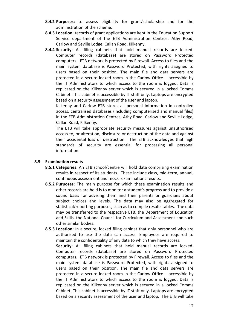- **8.4.2 Purposes:** to assess eligibility for grant/scholarship and for the administration of the scheme.
- **8.4.3 Location**: records of grant applications are kept in the Education Support Service department of the ETB Administration Centres, Athy Road, Carlow and Seville Lodge, Callan Road, Kilkenny.
- **8.4.4 Security**: All filing cabinets that hold manual records are locked. Computer records (database) are stored on Password Protected computers. ETB network is protected by Firewall. Access to files and the main system database is Password Protected, with rights assigned to users based on their position. The main file and data servers are protected in a secure locked room in the Carlow Office – accessible by the IT Administrators to which access to the room is logged. Data is replicated on the Kilkenny server which is secured in a locked Comms Cabinet. This cabinet is accessible by IT staff only. Laptops are encrypted based on a security assessment of the user and laptop.

Kilkenny and Carlow ETB stores all personal information in controlled access, centralised databases (including computerised and manual files) in the ETB Administration Centres, Athy Road, Carlow and Seville Lodge, Callan Road, Kilkenny.

The ETB will take appropriate security measures against unauthorised access to, or alteration, disclosure or destruction of the data and against their accidental loss or destruction. The ETB acknowledges that high standards of security are essential for processing all personal information.

#### **8.5 Examination results**

- **8.5.1 Categories**: An ETB school/centre will hold data comprising examination results in respect of its students. These include class, mid-term, annual, continuous assessment and mock- examinations results.
- **8.5.2 Purposes**: The main purpose for which these examination results and other records are held is to monitor a student's progress and to provide a sound basis for advising them and their parents or guardians about subject choices and levels. The data may also be aggregated for statistical/reporting purposes, such as to compile results tables. The data may be transferred to the respective ETB, the Department of Education and Skills, the National Council for Curriculum and Assessment and such other similar bodies.
- **8.5.3 Location:** In a secure, locked filing cabinet that only personnel who are authorised to use the data can access. Employees are required to maintain the confidentiality of any data to which they have access. **Security**: All filing cabinets that hold manual records are locked. Computer records (database) are stored on Password Protected computers. ETB network is protected by Firewall. Access to files and the main system database is Password Protected, with rights assigned to users based on their position. The main file and data servers are protected in a secure locked room in the Carlow Office – accessible by the IT Administrators to which access to the room is logged. Data is replicated on the Kilkenny server which is secured in a locked Comms Cabinet. This cabinet is accessible by IT staff only. Laptops are encrypted based on a security assessment of the user and laptop. The ETB will take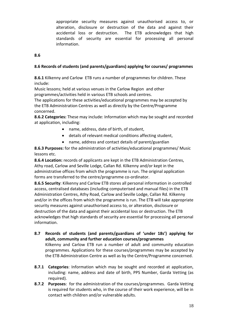appropriate security measures against unauthorised access to, or alteration, disclosure or destruction of the data and against their accidental loss or destruction. The ETB acknowledges that high standards of security are essential for processing all personal information.

# **8.6**

# **8.6 Records of students (and parents/guardians) applying for courses/ programmes**

**8.6.1** Kilkenny and Carlow ETB runs a number of programmes for children. These include:

Music lessons; held at various venues in the Carlow Region and other programmes/activities held in various ETB schools and centres.

The applications for these activities/educational programmes may be accepted by the ETB Administration Centres as well as directly by the Centre/Programme concerned.

**8.6.2 Categories:** These may include: Information which may be sought and recorded at application, including:

- name, address, date of birth, of student,
- details of relevant medical conditions affecting student,
- name, address and contact details of parent/guardian

**8.6.3 Purposes:** for the administration of activities/educational programmes/ Music lessons etc.

**8.6.4 Location:** records of applicants are kept in the ETB Administration Centres, Athy road, Carlow and Seville Lodge, Callan Rd. Kilkenny and/or kept in the administrative offices from which the programme is run. The original application forms are transferred to the centre/programme co-ordinator.

**8.6.5 Security**: Kilkenny and Carlow ETB stores all personal information in controlled access, centralised databases (including computerised and manual files) in the ETB Administration Centres, Athy Road, Carlow and Seville Lodge, Callan Rd. Kilkenny and/or in the offices from which the programme is run. The ETB will take appropriate security measures against unauthorised access to, or alteration, disclosure or destruction of the data and against their accidental loss or destruction. The ETB acknowledges that high standards of security are essential for processing all personal information.

- **8.7 Records of students (and parents/guardians of 'under 18s') applying for adult, community and further education courses/programmes**  Kilkenny and Carlow ETB run a number of adult and community education programmes. Applications for these courses/programmes may be accepted by the ETB Administration Centre as well as by the Centre/Programme concerned.
- **8.7.1 Categories**: Information which may be sought and recorded at application, including: name, address and date of birth, PPS Number, Garda Vetting (as required).
- **8.7.2 Purposes**: for the administration of the courses/programmes. Garda Vetting is required for students who, in the course of their work experience, will be in contact with children and/or vulnerable adults.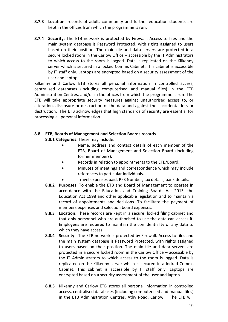- **8.7.3 Location**: records of adult, community and further education students are kept in the offices from which the programme is run.
- **8.7.4 Security**: The ETB network is protected by Firewall. Access to files and the main system database is Password Protected, with rights assigned to users based on their position. The main file and data servers are protected in a secure locked room in the Carlow Office – accessible by the IT Administrators to which access to the room is logged. Data is replicated on the Kilkenny server which is secured in a locked Comms Cabinet. This cabinet is accessible by IT staff only. Laptops are encrypted based on a security assessment of the user and laptop.

Kilkenny and Carlow ETB stores all personal information in controlled access, centralised databases (including computerised and manual files) in the ETB Administration Centres, and/or in the offices from which the programme is run. The ETB will take appropriate security measures against unauthorised access to, or alteration, disclosure or destruction of the data and against their accidental loss or destruction. The ETB acknowledges that high standards of security are essential for processing all personal information.

# **8.8 ETB, Boards of Management and Selection Boards records**

**8.8.1 Categories**: These may include:

- Name, address and contact details of each member of the ETB, Board of Management and Selection Board (including former members).
- Records in relation to appointments to the ETB/Board.
- Minutes of meetings and correspondence which may include references to particular individuals.
- Travel expenses paid, PPS Number, tax details, bank details.
- **8.8.2 Purposes**: To enable the ETB and Board of Management to operate in accordance with the Education and Training Boards Act 2013, the Education Act 1998 and other applicable legislation and to maintain a record of appointments and decisions. To facilitate the payment of members expenses and selection board expenses.
- **8.8.3 Location**: These records are kept in a secure, locked filing cabinet and that only personnel who are authorised to use the data can access it. Employees are required to maintain the confidentiality of any data to which they have access.
- **8.8.4 Security**: The ETB network is protected by Firewall. Access to files and the main system database is Password Protected, with rights assigned to users based on their position. The main file and data servers are protected in a secure locked room in the Carlow Office – accessible by the IT Administrators to which access to the room is logged. Data is replicated on the Kilkenny server which is secured in a locked Comms Cabinet. This cabinet is accessible by IT staff only. Laptops are encrypted based on a security assessment of the user and laptop.
- **8.8.5** Kilkenny and Carlow ETB stores all personal information in controlled access, centralised databases (including computerised and manual files) in the ETB Administration Centres, Athy Road, Carlow, The ETB will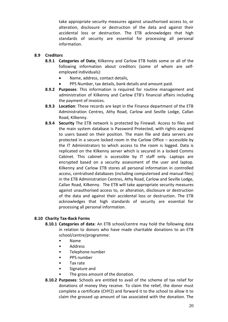take appropriate security measures against unauthorised access to, or alteration, disclosure or destruction of the data and against their accidental loss or destruction. The ETB acknowledges that high standards of security are essential for processing all personal information.

# **8.9 Creditors**

- **8.9.1 Categories of Data**: Kilkenny and Carlow ETB holds some or all of the following information about creditors (some of whom are selfemployed individuals):
	- Name, address, contact details,
	- PPS Number, tax details, bank details and amount paid.
- **8.9.2 Purposes**: This information is required for routine management and administration of Kilkenny and Carlow ETB's financial affairs including the payment of invoices.
- **8.9.3 Location**: These records are kept in the Finance department of the ETB Administration Centres, Athy Road, Carlow and Seville Lodge, Callan Road, Kilkenny.
- **8.9.4 Security** The ETB network is protected by Firewall. Access to files and the main system database is Password Protected, with rights assigned to users based on their position. The main file and data servers are protected in a secure locked room in the Carlow Office – accessible by the IT Administrators to which access to the room is logged. Data is replicated on the Kilkenny server which is secured in a locked Comms Cabinet. This cabinet is accessible by IT staff only. Laptops are encrypted based on a security assessment of the user and laptop. Kilkenny and Carlow ETB stores all personal information in controlled access, centralised databases (including computerised and manual files) in the ETB Administration Centres, Athy Road, Carlow and Seville Lodge, Callan Road, Kilkenny. The ETB will take appropriate security measures against unauthorised access to, or alteration, disclosure or destruction of the data and against their accidental loss or destruction. The ETB acknowledges that high standards of security are essential for processing all personal information.

# **8.10 Charity Tax-Back Forms**

- **8.10.1 Categories of data**: An ETB school/centre may hold the following data in relation to donors who have made charitable donations to an ETB school/centre/programme:
	- Name
	- Address
	- Telephone number
	- PPS number
	- Tax rate
	- Signature and
	- The gross amount of the donation.
- **8.10.2 Purposes**: Schools are entitled to avail of the scheme of tax relief for donations of money they receive. To claim the relief, the donor must complete a certificate (CHY2) and forward it to the school to allow it to claim the grossed up amount of tax associated with the donation. The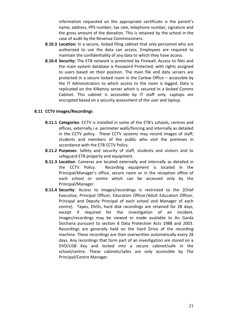information requested on the appropriate certificate is the parent's name, address, PPS number, tax rate, telephone number, signature and the gross amount of the donation. This is retained by the school in the case of audit by the Revenue Commissioners.

- **8.10.3 Location:** In a secure, locked filing cabinet that only personnel who are authorised to use the data can access. Employees are required to maintain the confidentiality of any data to which they have access.
- **8.10.4 Security:** The ETB network is protected by Firewall. Access to files and the main system database is Password Protected, with rights assigned to users based on their position. The main file and data servers are protected in a secure locked room in the Carlow Office – accessible by the IT Administrators to which access to the room is logged. Data is replicated on the Kilkenny server which is secured in a locked Comms Cabinet. This cabinet is accessible by IT staff only. Laptops are encrypted based on a security assessment of the user and laptop.

### **8.11 CCTV Images/Recordings**

- **8.11.1 Categories**: CCTV is installed in some of the ETB's schools, centres and offices, externally i.e. perimeter walls/fencing and internally as detailed in the CCTV policy. These CCTV systems may record images of staff, students and members of the public who visit the premises in accordance with the ETB CCTV Policy.
- **8.11.2 Purposes**: Safety and security of staff, students and visitors and to safeguard ETB property and equipment.
- **8.11.3 Location**: Cameras are located externally and internally as detailed in the CCTV Policy. Recording equipment is located in the Principal/Manager's office, secure room or in the reception office of each school or centre which can be accessed only by the Principal/Manager.
- **8.11.4 Security**: Access to images/recordings is restricted to the [Chief Executive, Principal Officer, Education Officer/Adult Education Officer, Principal and Deputy Principal of each school and Manager of each centre]. Tapes, DVDs, hard disk recordings are retained for 28 days, except if required for the investigation of an incident. Images/recordings may be viewed or made available to An Garda Siochana pursuant to section 8 Data Protection Acts 1988 and 2003. Recordings are generally held on the Hard Drive of the recording machine. These recordings are then overwritten automatically every 28 days. Any recordings that form part of an investigation are stored on a DVD/USB Key and locked into a secure cabinet/safe in the school/centre. These cabinets/safes are only accessible by The Principal/Centre Manager.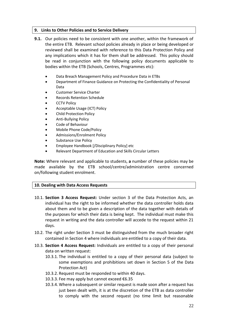# **9. Links to Other Policies and to Service Delivery**

- **9.1.** Our policies need to be consistent with one another, within the framework of the entire ETB. Relevant school policies already in place or being developed or reviewed shall be examined with reference to this Data Protection Policy and any implications which it has for them shall be addressed. This policy should be read in conjunction with the following policy documents applicable to bodies within the ETB (Schools, Centres, Programmes etc):
	- Data Breach Management Policy and Procedure Data in ETBs
	- Department of Finance Guidance on Protecting the Confidentiality of Personal Data
	- Customer Service Charter
	- Records Retention Schedule
	- CCTV Policy
	- Acceptable Usage (ICT) Policy
	- Child Protection Policy
	- Anti-Bullying Policy
	- Code of Behaviour
	- Mobile Phone Code/Policy
	- Admissions/Enrolment Policy
	- Substance Use Policy
	- Employee Handbook [/Disciplinary Policy] etc
	- Relevant Department of Education and Skills Circular Letters

**Note:** Where relevant and applicable to students, **a** number of these policies may be made available by the ETB school/centre/administration centre concerned on/following student enrolment.

#### **10. Dealing with Data Access Requests**

- 10.1. **Section 3 Access Request:** Under section 3 of the Data Protection Acts, an individual has the right to be informed whether the data controller holds data about them and to be given a description of the data together with details of the purposes for which their data is being kept. The individual must make this request in writing and the data controller will accede to the request within 21 days.
- 10.2. The right under Section 3 must be distinguished from the much broader right contained in Section 4 where individuals are entitled to a copy of their data.
- 10.3. **Section 4 Access Request:** Individuals are entitled to a copy of their personal data on written request:
	- 10.3.1. The individual is entitled to a copy of their personal data (subject to some exemptions and prohibitions set down in Section 5 of the Data Protection Act)
	- 10.3.2. Request must be responded to within 40 days.
	- 10.3.3. Fee may apply but cannot exceed €6.35
	- 10.3.4. Where a subsequent or similar request is made soon after a request has just been dealt with, it is at the discretion of the ETB as data controller to comply with the second request (no time limit but reasonable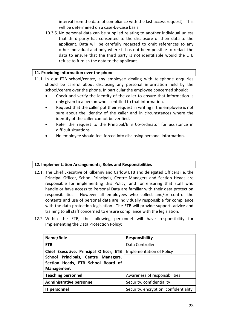interval from the date of compliance with the last access request). This will be determined on a case-by-case basis.

10.3.5. No personal data can be supplied relating to another individual unless that third party has consented to the disclosure of their data to the applicant. Data will be carefully redacted to omit references to any other individual and only where it has not been possible to redact the data to ensure that the third party is not identifiable would the ETB refuse to furnish the data to the applicant.

# **11. Providing information over the phone**

- 11.1. In our ETB school/centre, any employee dealing with telephone enquiries should be careful about disclosing any personal information held by the school/centre over the phone. In particular the employee concerned should:
	- Check and verify the identity of the caller to ensure that information is only given to a person who is entitled to that information.
	- Request that the caller put their request in writing if the employee is not sure about the identity of the caller and in circumstances where the identity of the caller cannot be verified.
	- Refer the request to the Principal/ETB Co-ordinator for assistance in difficult situations.
	- No employee should feel forced into disclosing personal information.

# **12. Implementation Arrangements, Roles and Responsibilities**

- 12.1. The Chief Executive of Kilkenny and Carlow ETB and delegated Officers i.e. the Principal Officer, School Principals, Centre Managers and Section Heads are responsible for implementing this Policy, and for ensuring that staff who handle or have access to Personal Data are familiar with their data protection responsibilities. However all employees who collect and/or control the contents and use of personal data are individually responsible for compliance with the data protection legislation. The ETB will provide support, advice and training to all staff concerned to ensure compliance with the legislation.
- 12.2. Within the ETB, the following personnel will have responsibility for implementing the Data Protection Policy:

| Name/Role                                                                 | <b>Responsibility</b>                 |
|---------------------------------------------------------------------------|---------------------------------------|
| <b>ETB</b>                                                                | Data Controller                       |
| Chief Executive, Principal Officer, ETB                                   | <b>Implementation of Policy</b>       |
| School Principals, Centre Managers,<br>Section Heads, ETB School Board of |                                       |
| <b>Management</b>                                                         |                                       |
| <b>Teaching personnel</b>                                                 | Awareness of responsibilities         |
| <b>Administrative personnel</b>                                           | Security, confidentiality             |
| <b>IT personnel</b>                                                       | Security, encryption, confidentiality |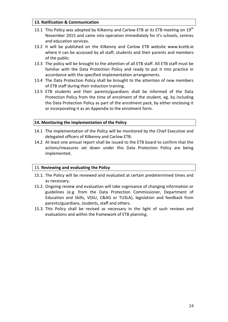# **13. Ratification & Communication**

- 13.1 This Policy was adopted by Kilkenny and Carlow ETB at its ETB meeting on  $19^{th}$ November 2015 and came into operation immediately for it's schools, centres and education services.
- 13.2 It will be published on the Kilkenny and Carlow ETB website www.kcetb.ie where it can be accessed by all staff, students and their parents and members of the public.
- 13.3 The policy will be brought to the attention of all ETB staff. All ETB staff must be familiar with the Data Protection Policy and ready to put it into practice in accordance with the specified implementation arrangements.
- 13.4 The Data Protection Policy shall be brought to the attention of new members of ETB staff during their induction training.
- 13.5 ETB students and their parents/guardians shall be informed of the Data Protection Policy from the time of enrolment of the student, eg. by including the Data Protection Policy as part of the enrolment pack, by either enclosing it or incorporating it as an Appendix to the enrolment form.

### **14. Monitoring the implementation of the Policy**

- 14.1 The implementation of the Policy will be monitored by the Chief Executive and delegated officers of Kilkenny and Carlow ETB.
- 14.2 At least one annual report shall be issued to the ETB board to confirm that the actions/measures set down under this Data Protection Policy are being implemented.

# 15. **Reviewing and evaluating the Policy**

- 15.1. The Policy will be reviewed and evaluated at certain predetermined times and as necessary.
- 15.2. Ongoing review and evaluation will take cognisance of changing information or guidelines (e.g. from the Data Protection Commissioner, Department of Education and Skills, VSSU, C&AG or TUSLA), legislation and feedback from parents/guardians, students, staff and others.
- 15.3. This Policy shall be revised as necessary in the light of such reviews and evaluations and within the framework of ETB planning.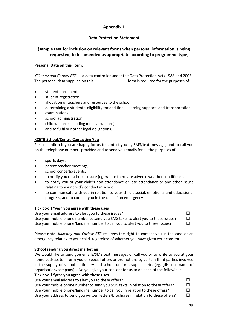# **Appendix 1**

# **Data Protection Statement**

# **(sample text for inclusion on relevant forms when personal information is being requested, to be amended as appropriate according to programme type)**

#### **Personal Data on this Form:**

*Kilkenny and Carlow ETB* is a data controller under the Data Protection Acts 1988 and 2003. The personal data supplied on this **Exercise 2018** form is required for the purposes of:

- student enrolment,
- student registration,
- allocation of teachers and resources to the school
- determining a student's eligibility for additional learning supports and transportation,
- examinations
- school administration,
- child welfare (including medical welfare)
- and to fulfil our other legal obligations.

#### **KCETB School/Centre Contacting You**

Please confirm if you are happy for us to contact you by SMS/text message, and to call you on the telephone numbers provided and to send you emails for all the purposes of:

- sports days,
- parent teacher meetings,
- school concerts/events,
- to notify you of school closure (eg. where there are adverse weather conditions),
- to notify you of your child's non-attendance or late attendance or any other issues relating to your child's conduct in school,
- to communicate with you in relation to your child's social, emotional and educational progress, and to contact you in the case of an emergency

#### **Tick box if "yes" you agree with these uses**

Use your email address to alert you to these issues?  $\square$ Use your mobile phone number to send you SMS texts to alert you to these issues?  $\square$ Use your mobile phone/landline number to call you to alert you to these issues?

**Please note**: *Kilkenny and Carlow ETB* reserves the right to contact you in the case of an emergency relating to your child, regardless of whether you have given your consent.

#### **School sending you direct marketing**

We would like to send you emails/SMS text messages or call you or to write to you at your home address to inform you of special offers or promotions by certain third parties involved in the supply of school stationery and school uniform supplies etc. (eg. [disclose name of organisation/company]). Do you give your consent for us to do each of the following:

#### **Tick box if "yes" you agree with these uses**

| Use your email address to alert you to these offers?                                | П |
|-------------------------------------------------------------------------------------|---|
| Use your mobile phone number to send you SMS texts in relation to these offers?     |   |
| Use your mobile phone/landline number to call you in relation to these offers?      | □ |
| Use your address to send you written letters/brochures in relation to these offers? |   |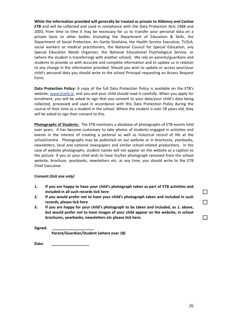**While the information provided will generally be treated as private to** *Kilkenny and Carlow ETB* and will be collected and used in compliance with the Data Protection Acts 1988 and 2003, from time to time it may be necessary for us to transfer your personal data on a private basis to other bodies (including the Department of Education & Skills, the Department of Social Protection, An Garda Síochána, the Health Service Executive, TUSLA, social workers or medical practitioners, the National Council for Special Education, any Special Education Needs Organiser, the National Educational Psychological Service, or (where the student is transferring) with another school). We rely on parents/guardians and students to provide us with accurate and complete information and to update us in relation to any change in the information provided. Should you wish to update or access your/your child's personal data you should write to the school Principal requesting an Access Request Form.

**Data Protection Policy:** A copy of the full Data Protection Policy is available on the ETB's website, [www.kcetb.ie,](http://www.kcetb.ie/) and you and your child should read it carefully. When you apply for enrolment, you will be asked to sign that you consent to your data/your child's data being collected, processed and used in accordance with this Data Protection Policy during the course of their time as a student in the school. Where the student is over 18 years old, they will be asked to sign their consent to this.

**Photographs of Students:** The ETB maintains a database of photographs of ETB events held over years. It has become customary to take photos of students engaged in activities and events in the interest of creating a pictorial as well as historical record of life at the school/centre. Photographs may be published on our website or in brochures, yearbooks, newsletters, local and national newspapers and similar school-related productions. In the case of website photographs, student names will not appear on the website as a caption to the picture. If you or your child wish to have his/her photograph removed from the school website, brochure, yearbooks, newsletters etc. at any time, you should write to the ETB Chief Executive.

#### **Consent** *(tick one only)*

- **1. If you are happy to have your child's photograph taken as part of ETB activities and included in all such records tick here**
- **2. If you would prefer not to have your child's photograph taken and included in such records, please tick here**
- **3. If you are happy for your child's photograph to be taken and included, as** *1.* **above, but would prefer not to have images of your child appear on the website, in school brochures, yearbooks, newsletters etc please tick here.**

**Signed: \_\_\_\_\_\_\_\_\_\_\_\_\_\_\_\_\_\_\_\_** 

 **Parent/Guardian/Student (where over 18)** 

Date: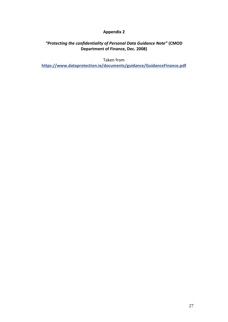# **Appendix 2**

# *"Protecting the confidentiality of Personal Data Guidance Note"* **(CMOD Department of Finance, Dec. 2008)**

Taken from **<https://www.dataprotection.ie/documents/guidance/GuidanceFinance.pdf>**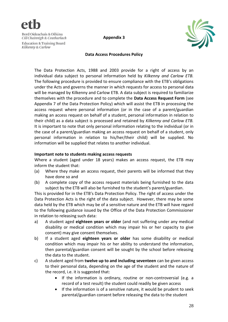

**Appendix 3**



#### **Data Access Procedures Policy**

The Data Protection Acts, 1988 and 2003 provide for a right of access by an individual data subject to personal information held by *Kilkenny and Carlow ETB.* The following procedure is provided to ensure compliance with the ETB's obligations under the Acts and governs the manner in which requests for access to personal data will be managed by Kilkenny and Carlow ETB. A data subject is required to familiarize themselves with the procedure and to complete the **[Data Access Request Form](http://www.dataprotectionschools.ie/Document-Library/Data%20Access%20Request%20Form.doc)** (see Appendix 7 of the Data Protection Policy) which will assist the ETB in processing the access request where personal information (or in the case of a parent/guardian making an access request on behalf of a student, personal information in relation to their child) as a data subject is processed and retained by *Kilkenny and Carlow ETB.* It is important to note that only personal information relating to the individual (or in the case of a parent/guardian making an access request on behalf of a student, only personal information in relation to his/her/their child) will be supplied. No information will be supplied that relates to another individual.

#### **Important note to students making access requests**

Where a student (aged under 18 years) makes an access request, the ETB may inform the student that:

- (a) Where they make an access request, their parents will be informed that they have done so and
- (b) A complete copy of the access request materials being furnished to the data subject by the ETB will also be furnished to the student's parent/guardian.

This is provided for in the ETB's Data Protection Policy. The right of access under the Data Protection Acts is the right of the data subject. However, there may be some data held by the ETB which may be of a sensitive nature and the ETB will have regard to the following guidance issued by the Office of the Data Protection Commissioner in relation to releasing such data:

- a) A student aged **eighteen years or older** (and not suffering under any medical disability or medical condition which may impair his or her capacity to give consent) may give consent themselves.
- b) If a student aged **eighteen years or older** has some disability or medical condition which may impair his or her ability to understand the information, then parental/guardian consent will be sought by the school before releasing the data to the student.
- c) A student aged from **twelve up to and including seventeen** can be given access to their personal data, depending on the age of the student and the nature of the record, i.e. it is suggested that:
	- If the information is ordinary, routine or non-controversial (e.g. a record of a test result) the student could readily be given access
	- If the information is of a sensitive nature, it would be prudent to seek parental/guardian consent before releasing the data to the student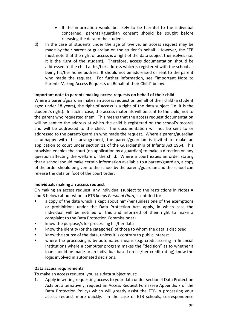- If the information would be likely to be harmful to the individual concerned, parental/guardian consent should be sought before releasing the data to the student.
- d) In the case of students under the age of twelve, an access request may be made by their parent or guardian on the student's behalf. However, the ETB must note that the right of access is a right of the data subject themselves (i.e. it is the right of the student). Therefore, access documentation should be addressed to the child at his/her address which is registered with the school as being his/her home address. It should not be addressed or sent to the parent who made the request. For further information, see "Important Note to Parents Making Access Requests on Behalf of their Child" below.

### **Important note to parents making access requests on behalf of their child**

Where a parent/guardian makes an access request on behalf of their child (a student aged under 18 years), the right of access is a right of the data subject (i.e. it is the student's right). In such a case, the access materials will be sent to the child, not to the parent who requested them. This means that the access request documentation will be sent to the address at which the child is registered on the school's records and will be addressed to the child. The documentation will not be sent to or addressed to the parent/guardian who made the request. Where a parent/guardian is unhappy with this arrangement, the parent/guardian is invited to make an application to court under section 11 of the Guardianship of Infants Act 1964. This provision enables the court (on application by a guardian) to make a direction on any question affecting the welfare of the child. Where a court issues an order stating that a school should make certain information available to a parent/guardian, a copy of the order should be given to the school by the parent/guardian and the school can release the data on foot of the court order.

#### **Individuals making an access request**

On making an access request, any individual (subject to the restrictions in Notes A and B below) about whom a ETB keeps *Personal Data*, is entitled to:

- a copy of the data which is kept about him/her (unless one of the exemptions or prohibitions under the Data Protection Acts apply, in which case the individual will be notified of this and informed of their right to make a complaint to the Data Protection Commissioner)
- know the purpose/s for processing his/her data
- know the identity (or the categories) of those to whom the data is disclosed
- **EXEDENT** know the source of the data, unless it is contrary to public interest
- where the processing is by automated means (e.g. credit scoring in financial institutions where a computer program makes the "decision" as to whether a loan should be made to an individual based on his/her credit rating) know the logic involved in automated decisions.

#### **Data access requirements**

To make an access request, you as a data subject must:

1. Apply in writing requesting access to your data under section 4 Data Protection Acts or, alternatively, request an Access Request Form (see Appendix 7 of the Data Protection Policy) which will greatly assist the ETB in processing your access request more quickly. In the case of ETB schools, correspondence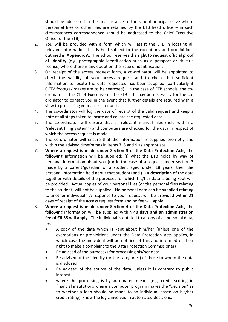should be addressed in the first instance to the school principal (save where personnel files or other files are retained by the ETB head office – in such circumstances correspondence should be addressed to the Chief Executive Officer of the ETB)

- 2. You will be provided with a form which will assist the ETB in locating all relevant information that is held subject to the exceptions and prohibitions outlined in **Appendix A.** The school reserves the **right to request official proof of identity** (e.g. photographic identification such as a passport or driver's licence) where there is any doubt on the issue of identification.
- 3. On receipt of the access request form, a co-ordinator will be appointed to check the validity of your access request and to check that sufficient information to locate the data requested has been supplied (particularly if CCTV footage/images are to be searched). In the case of ETB schools, the coordinator is the Chief Executive of the ETB. It may be necessary for the coordinator to contact you in the event that further details are required with a view to processing your access request.
- 4. The co-ordinator will log the date of receipt of the valid request and keep a note of all steps taken to locate and collate the requested data.
- 5. The co-ordinator will ensure that all relevant manual files (held within a "relevant filing system") and computers are checked for the data in respect of which the access request is made.
- 6. The co-ordinator will ensure that the information is supplied promptly and within the advised timeframes in items 7, 8 and 9 as appropriate.
- 7. **Where a request is made under Section 3 of the Data Protection Acts,** the following information will be supplied: (i) what the ETB holds by way of personal information about you ((or in the case of a request under section 3 made by a parent/guardian of a student aged under 18 years, then the personal information held about that student) and (ii) a **description** of the data together with details of the purposes for which his/her data is being kept will be provided. Actual copies of your personal files (or the personal files relating to the student) will not be supplied. No personal data can be supplied relating to another individual. A response to your request will be provided within 21 days of receipt of the access request form and no fee will apply.
- 8. **Where a request is made under Section 4 of the Data Protection Acts,** the following information will be supplied within **40 days and an administration fee of €6.35 will apply.** The individual is entitled to a copy of all personal data, i.e.
	- A copy of the data which is kept about him/her (unless one of the exemptions or prohibitions under the Data Protection Acts applies, in which case the individual will be notified of this and informed of their right to make a complaint to the Data Protection Commissioner)
	- Be advised of the purpose/s for processing his/her data
	- Be advised of the identity (or the categories) of those to whom the data is disclosed
	- Be advised of the source of the data, unless it is contrary to public interest
	- where the processing is by automated means (e.g. credit scoring in financial institutions where a computer program makes the "decision" as to whether a loan should be made to an individual based on his/her credit rating), know the logic involved in automated decisions.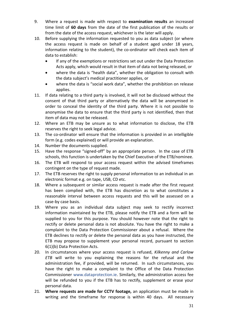- 9. Where a request is made with respect to **examination results** an increased time limit of **60 days** from the date of the first publication of the results or from the date of the access request, whichever is the later will apply.
- 10. Before supplying the information requested to you as data subject (or where the access request is made on behalf of a student aged under 18 years, information relating to the student), the co-ordinator will check each item of data to establish:
	- If any of the exemptions or restrictions set out under the Data Protection Acts apply, which would result in that item of data not being released, or
	- where the data is "health data", whether the obligation to consult with the data subject's medical practitioner applies, or
	- where the data is "social work data", whether the prohibition on release applies.
- 11. If data relating to a third party is involved, it will not be disclosed without the consent of that third party or alternatively the data will be anonymised in order to conceal the identity of the third party. Where it is not possible to anonymise the data to ensure that the third party is not identified, then that item of data may not be released.
- 12. Where an ETB may be unsure as to what information to disclose, the ETB reserves the right to seek legal advice.
- 13. The co-ordinator will ensure that the information is provided in an intelligible form (e.g. codes explained) or will provide an explanation.
- 14. Number the documents supplied.
- 15. Have the response "signed-off" by an appropriate person. In the case of ETB schools, this function is undertaken by the Chief Executive of the ETB/nominee.
- 16. The ETB will respond to your access request within the advised timeframes contingent on the type of request made.
- 17. The ETB reserves the right to supply personal information to an individual in an electronic format e.g. on tape, USB, CD etc.
- 18. Where a subsequent or similar access request is made after the first request has been complied with, the ETB has discretion as to what constitutes a reasonable interval between access requests and this will be assessed on a case-by case basis.
- 19. Where you as an individual data subject may seek to rectify incorrect information maintained by the ETB, please notify the ETB and a form will be supplied to you for this purpose. You should however note that the right to rectify or delete personal data is not absolute. You have the right to make a complaint to the Data Protection Commissioner about a refusal. Where the ETB declines to rectify or delete the personal data as you have instructed, the ETB may propose to supplement your personal record, pursuant to section 6(1)(b) Data Protection Acts.
- 20. In circumstances where your access request is refused, *Kilkenny and Carlow ETB* will write to you explaining the reasons for the refusal and the administration fee, if provided, will be returned. In such circumstances, you have the right to make a complaint to the Office of the Data Protection Commissioner [www.dataprotection.ie.](http://www.dataprotection.ie/) Similarly, the administration access fee will be refunded to you if the ETB has to rectify, supplement or erase your personal data.
- 21. **Where requests are made for CCTV footage,** an application must be made in writing and the timeframe for response is within 40 days. All necessary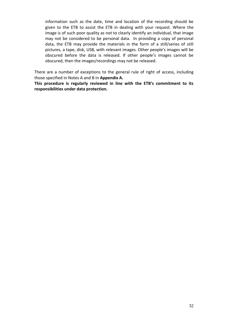information such as the date, time and location of the recording should be given to the ETB to assist the ETB in dealing with your request. Where the image is of such poor quality as not to clearly identify an individual, that image may not be considered to be personal data. In providing a copy of personal data, the ETB may provide the materials in the form of a still/series of still pictures, a tape, disk, USB, with relevant images. Other people's images will be obscured before the data is released. If other people's images cannot be obscured, then the images/recordings may not be released.

There are a number of exceptions to the general rule of right of access, including those specified in Notes A and B in **Appendix A.**

**This procedure is regularly reviewed in line with the ETB's commitment to its responsibilities under data protection.**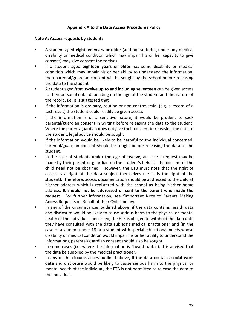### **Appendix A to the Data Access Procedures Policy**

#### **Note A: Access requests by students**

- A student aged **eighteen years or older** (and not suffering under any medical disability or medical condition which may impair his or her capacity to give consent) may give consent themselves.
- If a student aged **eighteen years or older** has some disability or medical condition which may impair his or her ability to understand the information, then parental/guardian consent will be sought by the school before releasing the data to the student.
- A student aged from **twelve up to and including seventeen** can be given access to their personal data, depending on the age of the student and the nature of the record, i.e. it is suggested that
- If the information is ordinary, routine or non-controversial (e.g. a record of a test result) the student could readily be given access
- If the information is of a sensitive nature, it would be prudent to seek parental/guardian consent in writing before releasing the data to the student. Where the parent/guardian does not give their consent to releasing the data to the student, legal advice should be sought
- If the information would be likely to be harmful to the individual concerned, parental/guardian consent should be sought before releasing the data to the student.
- In the case of students **under the age of twelve**, an access request may be made by their parent or guardian on the student's behalf. The consent of the child need not be obtained. However, the ETB must note that the right of access is a right of the data subject themselves (i.e. it is the right of the student). Therefore, access documentation should be addressed to the child at his/her address which is registered with the school as being his/her home address. **It should not be addressed or sent to the parent who made the request**. For further information, see "Important Note to Parents Making Access Requests on Behalf of their Child" below.
- In any of the circumstances outlined above, if the data contains health data and disclosure would be likely to cause serious harm to the physical or mental health of the individual concerned, the ETB is obliged to withhold the data until they have consulted with the data subject's medical practitioner and (in the case of a student under 18 or a student with special educational needs whose disability or medical condition would impair his or her ability to understand the information), parental/guardian consent should also be sought.
- In some cases (i.e. where the information is "**health data**"), it is advised that the data be supplied by the medical practitioner.
- In any of the circumstances outlined above, if the data contains **social work data** and disclosure would be likely to cause serious harm to the physical or mental health of the individual, the ETB is not permitted to release the data to the individual.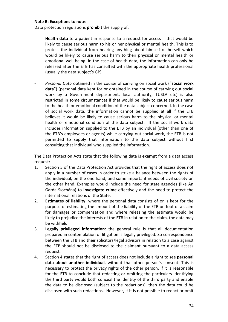#### **Note B: Exceptions to note:**

Data protection regulations **prohibit** the supply of:

- **Health data** to a patient in response to a request for access if that would be likely to cause serious harm to his or her physical or mental health. This is to protect the individual from hearing anything about himself or herself which would be likely to cause serious harm to their physical or mental health or emotional well-being. In the case of health data, the information can only be released after the ETB has consulted with the appropriate health professional (usually the data subject's GP).
- *Personal Data* obtained in the course of carrying on social work ("**social work data**") (personal data kept for or obtained in the course of carrying out social work by a Government department, local authority, TUSLA etc) is also restricted in some circumstances if that would be likely to cause serious harm to the health or emotional condition of the data subject concerned. In the case of social work data, the information cannot be supplied at all if the ETB believes it would be likely to cause serious harm to the physical or mental health or emotional condition of the data subject. If the social work data includes information supplied to the ETB by an individual (other than one of the ETB's employees or agents) while carrying out social work, the ETB is not permitted to supply that information to the data subject without first consulting that individual who supplied the information.

The Data Protection Acts state that the following data is **exempt** from a data access request:

- 1. Section 5 of the Data Protection Act provides that the right of access does not apply in a number of cases in order to strike a balance between the rights of the individual, on the one hand, and some important needs of civil society on the other hand. Examples would include the need for state agencies (like An Garda Síochána) to **investigate crime** effectively and the need to protect the international relations of the State.
- 2. **Estimates of liability**: where the personal data consists of or is kept for the purpose of estimating the amount of the liability of the ETB on foot of a claim for damages or compensation and where releasing the estimate would be likely to prejudice the interests of the ETB in relation to the claim, the data may be withheld.
- 3. **Legally privileged information**: the general rule is that all documentation prepared in contemplation of litigation is legally privileged. So correspondence between the ETB and their solicitors/legal advisors in relation to a case against the ETB should not be disclosed to the claimant pursuant to a data access request.
- 4. Section 4 states that the right of access does not include a right to see **personal data about another individual**, without that other person's consent. This is necessary to protect the privacy rights of the other person. If it is reasonable for the ETB to conclude that redacting or omitting the particulars identifying the third party would both conceal the identity of the third party and enable the data to be disclosed (subject to the redactions), then the data could be disclosed with such redactions. However, if it is not possible to redact or omit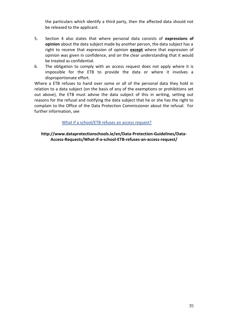the particulars which identify a third party, then the affected data should not be released to the applicant.

- 5. Section 4 also states that where personal data consists of **expressions of opinion** about the data subject made by another person, the data subject has a right to receive that expression of opinion **except** where that expression of opinion was given in confidence, and on the clear understanding that it would be treated as confidential.
- 6. The obligation to comply with an access request does not apply where it is impossible for the ETB to provide the data or where it involves a disproportionate effort.

Where a ETB refuses to hand over some or all of the personal data they hold in relation to a data subject (on the basis of any of the exemptions or prohibitions set out above), the ETB must advise the data subject of this in writing, setting out reasons for the refusal and notifying the data subject that he or she has the right to complain to the Office of the Data Protection Commissioner about the refusal. For further information, see

[What if a school/ETB refuses an access request?](http://www.dataprotectionschools.ie/en/Data-Protection-Guidelines/Data-Access-Requests/What-if-a-school-ETB-refuses-an-access-request/)

**http://www.dataprotectionschools.ie/en/Data-Protection-Guidelines/Data-Access-Requests/What-if-a-school-ETB-refuses-an-access-request/**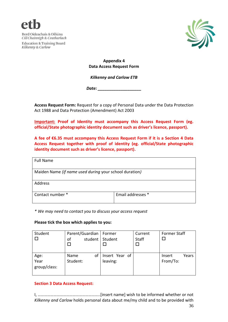



**Appendix 4 Data Access Request Form**

*Kilkenny and Carlow ETB*

*Date: \_\_\_\_\_\_\_\_\_\_\_\_\_\_\_\_\_\_\_*

**Access Request Form:** Request for a copy of Personal Data under the Data Protection Act 1988 and Data Protection (Amendment) Act 2003

**Important: Proof of Identity must accompany this Access Request Form (eg. official/State photographic identity document such as driver's licence, passport).**

**A fee of €6.35 must accompany this Access Request Form if it is a Section 4 Data Access Request together with proof of identity (eg. official/State photographic identity document such as driver's licence, passport).**

| <b>Full Name</b>                                       |                   |
|--------------------------------------------------------|-------------------|
|                                                        |                   |
| Maiden Name (if name used during your school duration) |                   |
|                                                        |                   |
| Address                                                |                   |
|                                                        |                   |
| Contact number *                                       | Email addresses * |
|                                                        |                   |
|                                                        |                   |

*\* We may need to contact you to discuss your access request*

#### **Please tick the box which applies to you:**

| Student                      | Parent/Guardian<br>student<br>of | Former<br>Student          | Current<br>Staff | <b>Former Staff</b>         |
|------------------------------|----------------------------------|----------------------------|------------------|-----------------------------|
| Age:<br>Year<br>group/class: | οf<br>Name<br>Student:           | Insert Year of<br>leaving: |                  | Years<br>Insert<br>From/To: |

# **Section 3 Data Access Request:**

I, …………………………………………………..[insert name] wish to be informed whether or not *Kilkenny and Carlow* holds personal data about me/my child and to be provided with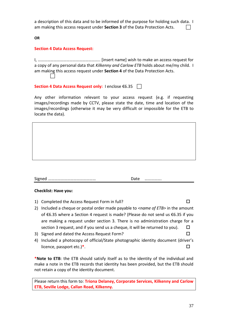a description of this data and to be informed of the purpose for holding such data. I am making this access request under **Section 3** of the Data Protection Acts.

**OR**

#### **Section 4 Data Access Request:**

I, ………………………………………………….. [insert name] wish to make an access request for a copy of any personal data that *Kilkenny and Carlow ETB* holds about me/my child. I am making this access request under **Section 4** of the Data Protection Acts. 

Section 4 Data Access Request only: I enclose €6.35 <del>D</del>

Any other information relevant to your access request (e.g. if requesting images/recordings made by CCTV, please state the date, time and location of the images/recordings (otherwise it may be very difficult or impossible for the ETB to locate the data).

#### Signed ……………………………………… Date …………….

#### **Checklist: Have you:**

- 1) Completed the Access Request Form in full?
- 2) Included a cheque or postal order made payable to *<name of ETB>* in the amount of €6.35 where a Section 4 request is made? (Please do not send us €6.35 if you are making a request under section 3. There is no administration charge for a section 3 request, and if you send us a cheque, it will be returned to you).  $\square$
- 3) Signed and dated the Access Request Form?
- 4) Included a photocopy of official/State photographic identity document (driver's licence, passport etc.)**\***.

**\*Note to ETB**: the ETB should satisfy itself as to the identity of the individual and make a note in the ETB records that identity has been provided, but the ETB should not retain a copy of the identity document.

Please return this form to: **Triona Delaney, Corporate Services, Kilkenny and Carlow ETB, Seville Lodge, Callan Road, Kilkenny.**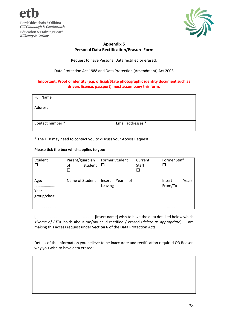



# **Appendix 5 Personal Data Rectification/Erasure Form**

Request to have Personal Data rectified or erased.

Data Protection Act 1988 and Data Protection (Amendment) Act 2003

#### **Important: Proof of identity (e.g. official/State photographic identity document such as drivers licence, passport) must accompany this form.**

| <b>Full Name</b> |                   |
|------------------|-------------------|
| Address          |                   |
| Contact number*  | Email addresses * |

\* The ETB may need to contact you to discuss your Access Request

#### **Please tick the box which applies to you:**

| Student              | Parent/guardian<br>student<br>οf | Former Student<br>□          | Current<br>Staff | <b>Former Staff</b>        |
|----------------------|----------------------------------|------------------------------|------------------|----------------------------|
| Age:                 | Name of Student                  | οf<br>Insert Year<br>Leaving |                  | Years<br>Insert<br>From/To |
| Year<br>group/class: |                                  |                              |                  |                            |
|                      |                                  |                              |                  |                            |

I, …………………………………………………..[insert name] wish to have the data detailed below which *<Name of ETB>* holds about me/my child rectified / erased (*delete as appropriate*). I am making this access request under **Section 6** of the Data Protection Acts.

Details of the information you believe to be inaccurate and rectification required OR Reason why you wish to have data erased: